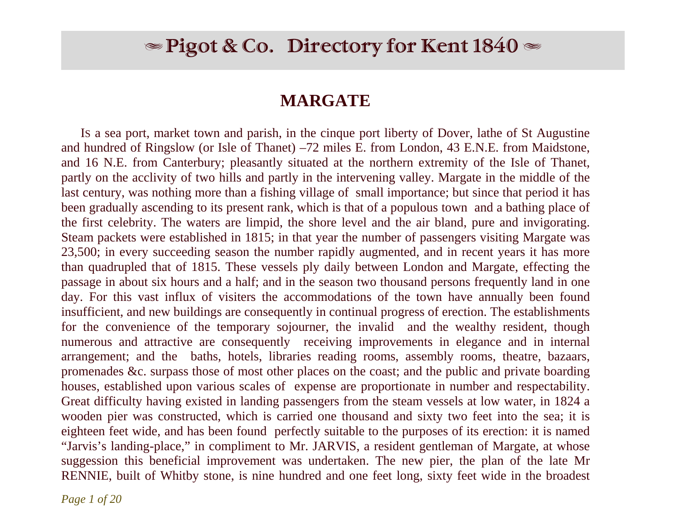# $\blacktriangleright$  Pigot & Co. Directory for Kent 1840  $\blacktriangleright$

## **MARGATE**

 IS a sea port, market town and parish, in the cinque port liberty of Dover, lathe of St Augustine and hundred of Ringslow (or Isle of Thanet) –72 miles E. from London, 43 E.N.E. from Maidstone, and 16 N.E. from Canterbury; pleasantly situated at the northern extremity of the Isle of Thanet, partly on the acclivity of two hills and partly in the intervening valley. Margate in the middle of the last century, was nothing more than a fishing village of small importance; but since that period it has been gradually ascending to its present rank, which is that of a populous town and a bathing place of the first celebrity. The waters are limpid, the shore level and the air bland, pure and invigorating. Steam packets were established in 1815; in that year the number of passengers visiting Margate was 23,500; in every succeeding season the number rapidly augmented, and in recent years it has more than quadrupled that of 1815. These vessels ply daily between London and Margate, effecting the passage in about six hours and a half; and in the season two thousand persons frequently land in one day. For this vast influx of visiters the accommodations of the town have annually been found insufficient, and new buildings are consequently in continual progress of erection. The establishments for the convenience of the temporary sojourner, the invalid and the wealthy resident, though numerous and attractive are consequently receiving improvements in elegance and in internal arrangement; and the baths, hotels, libraries reading rooms, assembly rooms, theatre, bazaars, promenades &c. surpass those of most other places on the coast; and the public and private boarding houses, established upon various scales of expense are proportionate in number and respectability. Great difficulty having existed in landing passengers from the steam vessels at low water, in 1824 a wooden pier was constructed, which is carried one thousand and sixty two feet into the sea; it is eighteen feet wide, and has been found perfectly suitable to the purposes of its erection: it is named "Jarvis's landing-place," in compliment to Mr. JARVIS, a resident gentleman of Margate, at whose suggession this beneficial improvement was undertaken. The new pier, the plan of the late Mr RENNIE, built of Whitby stone, is nine hundred and one feet long, sixty feet wide in the broadest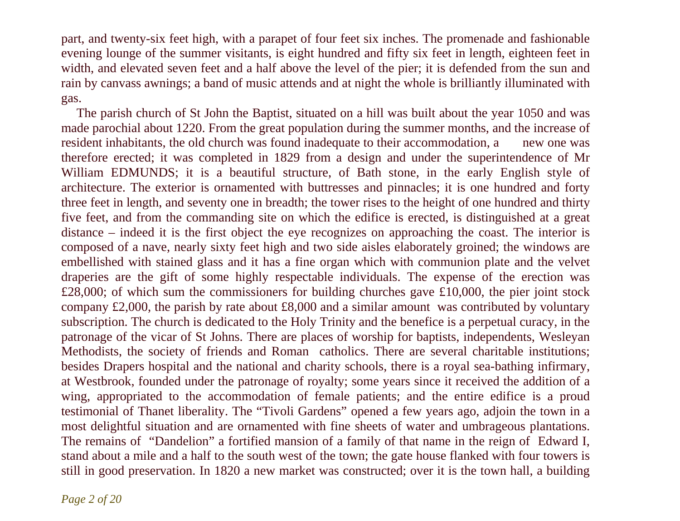part, and twenty-six feet high, with a parapet of four feet six inches. The promenade and fashionable evening lounge of the summer visitants, is eight hundred and fifty six feet in length, eighteen feet in width, and elevated seven feet and a half above the level of the pier; it is defended from the sun and rain by canvass awnings; a band of music attends and at night the whole is brilliantly illuminated with gas.

 The parish church of St John the Baptist, situated on a hill was built about the year 1050 and was made parochial about 1220. From the great population during the summer months, and the increase of resident inhabitants, the old church was found inadequate to their accommodation, a new one was therefore erected; it was completed in 1829 from a design and under the superintendence of Mr William EDMUNDS; it is a beautiful structure, of Bath stone, in the early English style of architecture. The exterior is ornamented with buttresses and pinnacles; it is one hundred and forty three feet in length, and seventy one in breadth; the tower rises to the height of one hundred and thirty five feet, and from the commanding site on which the edifice is erected, is distinguished at a great distance – indeed it is the first object the eye recognizes on approaching the coast. The interior is composed of a nave, nearly sixty feet high and two side aisles elaborately groined; the windows are embellished with stained glass and it has a fine organ which with communion plate and the velvet draperies are the gift of some highly respectable individuals. The expense of the erection was  $£28,000$ ; of which sum the commissioners for building churches gave £10,000, the pier joint stock company £2,000, the parish by rate about £8,000 and a similar amount was contributed by voluntary subscription. The church is dedicated to the Holy Trinity and the benefice is a perpetual curacy, in the patronage of the vicar of St Johns. There are places of worship for baptists, independents, Wesleyan Methodists, the society of friends and Roman catholics. There are several charitable institutions; besides Drapers hospital and the national and charity schools, there is a royal sea-bathing infirmary, at Westbrook, founded under the patronage of royalty; some years since it received the addition of a wing, appropriated to the accommodation of female patients; and the entire edifice is a proud testimonial of Thanet liberality. The "Tivoli Gardens" opened a few years ago, adjoin the town in a most delightful situation and are ornamented with fine sheets of water and umbrageous plantations. The remains of "Dandelion" a fortified mansion of a family of that name in the reign of Edward I, stand about a mile and a half to the south west of the town; the gate house flanked with four towers is still in good preservation. In 1820 a new market was constructed; over it is the town hall, a building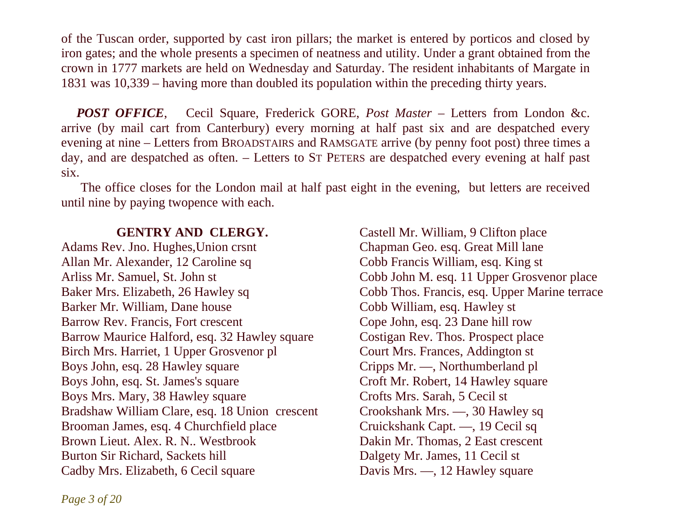of the Tuscan order, supported by cast iron pillars; the market is entered by porticos and closed by iron gates; and the whole presents a specimen of neatness and utility. Under a grant obtained from the crown in 1777 markets are held on Wednesday and Saturday. The resident inhabitants of Margate in 1831 was 10,339 – having more than doubled its population within the preceding thirty years.

*POST OFFICE*, Cecil Square, Frederick GORE, *Post Master* – Letters from London &c. arrive (by mail cart from Canterbury) every morning at half past six and are despatched every evening at nine – Letters from BROADSTAIRS and RAMSGATE arrive (by penny foot post) three times a day, and are despatched as often. – Letters to ST PETERS are despatched every evening at half past six.

 The office closes for the London mail at half past eight in the evening, but letters are received until nine by paying twopence with each.

### **GENTRY AND CLERGY.**

Adams Rev. Jno. Hughes,Union crsnt Allan Mr. Alexander, 12 Caroline sq Arliss Mr. Samuel, St. John st Baker Mrs. Elizabeth, 26 Hawley sq Barker Mr. William, Dane house Barrow Rev. Francis, Fort crescent Barrow Maurice Halford, esq. 32 Hawley square Birch Mrs. Harriet, 1 Upper Grosvenor pl Boys John, esq. 28 Hawley square Boys John, esq. St. James's square Boys Mrs. Mary, 38 Hawley square Bradshaw William Clare, esq. 18 Union crescent Crookshank Mrs. -, 30 Hawley sq Brooman James, esq. 4 Churchfield place Brown Lieut. Alex. R. N.. Westbrook Burton Sir Richard, Sackets hill Cadby Mrs. Elizabeth, 6 Cecil square

Castell Mr. William, 9 Clifton place Chapman Geo. esq. Great Mill lane Cobb Francis William, esq. King st Cobb John M. esq. 11 Upper Grosvenor place Cobb Thos. Francis, esq. Upper Marine terrace Cobb William, esq. Hawley st Cope John, esq. 23 Dane hill row Costigan Rev. Thos. Prospect place Court Mrs. Frances, Addington st Cripps Mr. —, Northumberland pl Croft Mr. Robert, 14 Hawley square Crofts Mrs. Sarah, 5 Cecil st Cruickshank Capt. —, 19 Cecil sq Dakin Mr. Thomas, 2 East crescent Dalgety Mr. James, 11 Cecil st Davis Mrs. —, 12 Hawley square

*Page 3 of 20*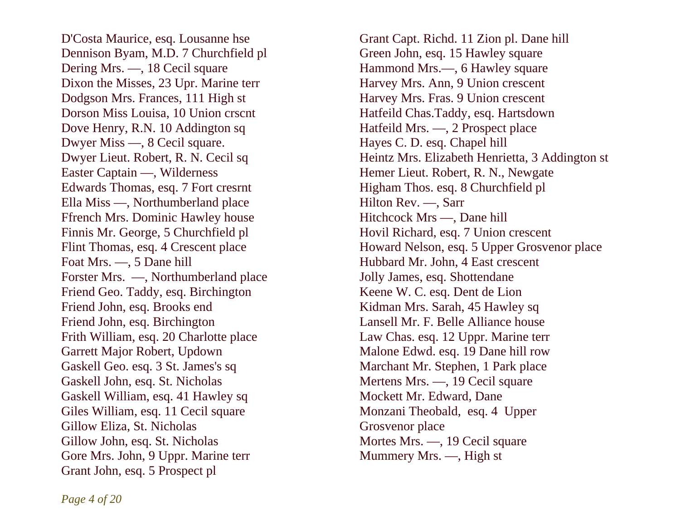D'Costa Maurice, esq. Lousanne hse Dennison Byam, M.D. 7 Churchfield pl Dering Mrs. —, 18 Cecil square Dixon the Misses, 23 Upr. Marine terr Dodgson Mrs. Frances, 111 High st Dorson Miss Louisa, 10 Union crscnt Dove Henry, R.N. 10 Addington sq Dwyer Miss —, 8 Cecil square. Dwyer Lieut. Robert, R. N. Cecil sq Easter Captain —, Wilderness Edwards Thomas, esq. 7 Fort cresrnt Ella Miss —, Northumberland place Ffrench Mrs. Dominic Hawley house Finnis Mr. George, 5 Churchfield pl Flint Thomas, esq. 4 Crescent place Foat Mrs. —, 5 Dane hill Forster Mrs. —, Northumberland place Friend Geo. Taddy, esq. Birchington Friend John, esq. Brooks end Friend John, esq. Birchington Frith William, esq. 20 Charlotte place Garrett Major Robert, Updown Gaskell Geo. esq. 3 St. James's sq Gaskell John, esq. St. Nicholas Gaskell William, esq. 41 Hawley sq Giles William, esq. 11 Cecil square Gillow Eliza, St. Nicholas Gillow John, esq. St. Nicholas Gore Mrs. John, 9 Uppr. Marine terr Grant John, esq. 5 Prospect pl

Grant Capt. Richd. 11 Zion pl. Dane hill Green John, esq. 15 Hawley square Hammond Mrs.—, 6 Hawley square Harvey Mrs. Ann, 9 Union crescent Harvey Mrs. Fras. 9 Union crescent Hatfeild Chas.Taddy, esq. Hartsdown Hatfeild Mrs. —, 2 Prospect place Hayes C. D. esq. Chapel hill Heintz Mrs. Elizabeth Henrietta, 3 Addington st Hemer Lieut. Robert, R. N., Newgate Higham Thos. esq. 8 Churchfield pl Hilton Rev. —, Sarr Hitchcock Mrs —, Dane hill Hovil Richard, esq. 7 Union crescent Howard Nelson, esq. 5 Upper Grosvenor place Hubbard Mr. John, 4 East crescent Jolly James, esq. Shottendane Keene W. C. esq. Dent de Lion Kidman Mrs. Sarah, 45 Hawley sq Lansell Mr. F. Belle Alliance house Law Chas. esq. 12 Uppr. Marine terr Malone Edwd. esq. 19 Dane hill row Marchant Mr. Stephen, 1 Park place Mertens Mrs. —, 19 Cecil square Mockett Mr. Edward, Dane Monzani Theobald, esq. 4 Upper Grosvenor place Mortes Mrs. —, 19 Cecil square Mummery Mrs. —, High st

*Page 4 of 20*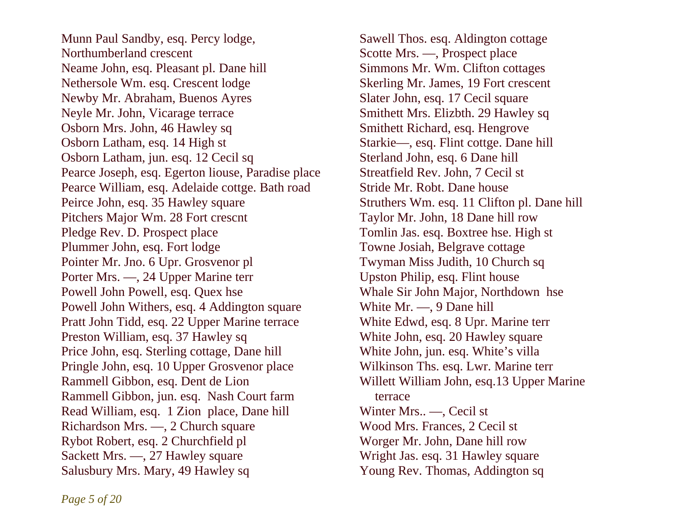Munn Paul Sandby, esq. Percy lodge, Northumberland crescent Neame John, esq. Pleasant pl. Dane hill Nethersole Wm. esq. Crescent lodge Newby Mr. Abraham, Buenos Ayres Neyle Mr. John, Vicarage terrace Osborn Mrs. John, 46 Hawley sq Osborn Latham, esq. 14 High st Osborn Latham, jun. esq. 12 Cecil sq Pearce Joseph, esq. Egerton liouse, Paradise place Pearce William, esq. Adelaide cottge. Bath road Peirce John, esq. 35 Hawley square Pitchers Major Wm. 28 Fort crescnt Pledge Rev. D. Prospect place Plummer John, esq. Fort lodge Pointer Mr. Jno. 6 Upr. Grosvenor pl Porter Mrs. —, 24 Upper Marine terr Powell John Powell, esq. Quex hse Powell John Withers, esq. 4 Addington square Pratt John Tidd, esq. 22 Upper Marine terrace Preston William, esq. 37 Hawley sq Price John, esq. Sterling cottage, Dane hill Pringle John, esq. 10 Upper Grosvenor place Rammell Gibbon, esq. Dent de Lion Rammell Gibbon, jun. esq. Nash Court farm Read William, esq. 1 Zion place, Dane hill Richardson Mrs. —, 2 Church square Rybot Robert, esq. 2 Churchfield pl Sackett Mrs. —, 27 Hawley square Salusbury Mrs. Mary, 49 Hawley sq

Sawell Thos. esq. Aldington cottage Scotte Mrs. —, Prospect place Simmons Mr. Wm. Clifton cottages Skerling Mr. James, 19 Fort crescent Slater John, esq. 17 Cecil square Smithett Mrs. Elizbth. 29 Hawley sq Smithett Richard, esq. Hengrove Starkie—, esq. Flint cottge. Dane hill Sterland John, esq. 6 Dane hill Streatfield Rev. John, 7 Cecil st Stride Mr. Robt. Dane house Struthers Wm. esq. 11 Clifton pl. Dane hill Taylor Mr. John, 18 Dane hill row Tomlin Jas. esq. Boxtree hse. High st Towne Josiah, Belgrave cottage Twyman Miss Judith, 10 Church sq Upston Philip, esq. Flint house Whale Sir John Major, Northdown hse White Mr. —, 9 Dane hill White Edwd, esq. 8 Upr. Marine terr White John, esq. 20 Hawley square White John, jun. esq. White's villa Wilkinson Ths. esq. Lwr. Marine terr Willett William John, esq.13 Upper Marine terrace Winter Mrs.. —, Cecil st Wood Mrs. Frances, 2 Cecil st Worger Mr. John, Dane hill row Wright Jas. esq. 31 Hawley square Young Rev. Thomas, Addington sq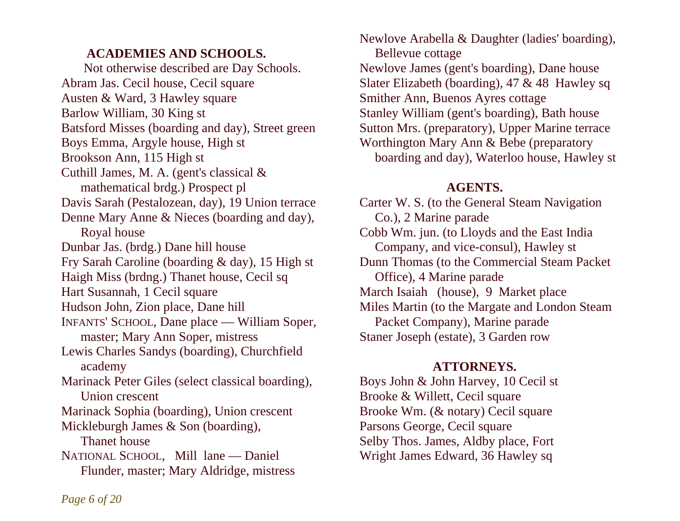## **ACADEMIES AND SCHOOLS.**

Not otherwise described are Day Schools. Abram Jas. Cecil house, Cecil square Austen & Ward, 3 Hawley square Barlow William, 30 King st Batsford Misses (boarding and day), Street green Boys Emma, Argyle house, High st Brookson Ann, 115 High st Cuthill James, M. A. (gent's classical & mathematical brdg.) Prospect pl Davis Sarah (Pestalozean, day), 19 Union terrace Denne Mary Anne & Nieces (boarding and day), Royal house Dunbar Jas. (brdg.) Dane hill house Fry Sarah Caroline (boarding & day), 15 High st Dunn Thomas (to the Commercial Steam Packet Haigh Miss (brdng.) Thanet house, Cecil sq Office), 4 Marine parade Hart Susannah, 1 Cecil square Hudson John, Zion place, Dane hill INFANTS' SCHOOL, Dane place — William Soper, master; Mary Ann Soper, mistress Lewis Charles Sandys (boarding), Churchfield academy Marinack Peter Giles (select classical boarding), Union crescent Marinack Sophia (boarding), Union crescent Mickleburgh James & Son (boarding), Thanet house NATIONAL SCHOOL, Mill lane — Daniel Flunder, master; Mary Aldridge, mistress

Newlove Arabella & Daughter (ladies' boarding), Bellevue cottage Newlove James (gent's boarding), Dane house Slater Elizabeth (boarding), 47 & 48 Hawley sq Smither Ann, Buenos Ayres cottage Stanley William (gent's boarding), Bath house Sutton Mrs. (preparatory), Upper Marine terrace Worthington Mary Ann & Bebe (preparatory boarding and day), Waterloo house, Hawley st

## **AGENTS.**

Carter W. S. (to the General Steam Navigation Co.), 2 Marine parade Cobb Wm. jun. (to Lloyds and the East India Company, and vice-consul), Hawley st March Isaiah (house), 9 Market place Miles Martin (to the Margate and London Steam Packet Company), Marine parade Staner Joseph (estate), 3 Garden row

## **ATTORNEYS.**

Boys John & John Harvey, 10 Cecil st Brooke & Willett, Cecil square Brooke Wm. (& notary) Cecil square Parsons George, Cecil square Selby Thos. James, Aldby place, Fort Wright James Edward, 36 Hawley sq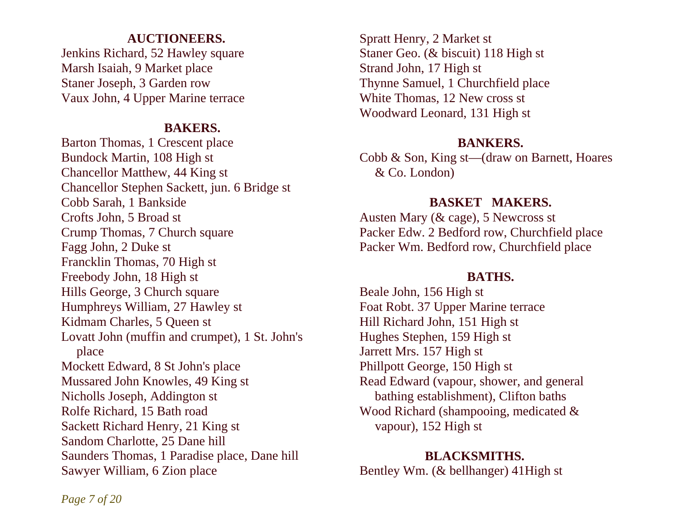## **AUCTIONEERS.**

Jenkins Richard, 52 Hawley square Marsh Isaiah, 9 Market place Staner Joseph, 3 Garden row Vaux John, 4 Upper Marine terrace

## **BAKERS.**

Barton Thomas, 1 Crescent place Bundock Martin, 108 High st Chancellor Matthew, 44 King st Chancellor Stephen Sackett, jun. 6 Bridge st Cobb Sarah, 1 Bankside Crofts John, 5 Broad st Crump Thomas, 7 Church square Fagg John, 2 Duke st Francklin Thomas, 70 High st Freebody John, 18 High st Hills George, 3 Church square Humphreys William, 27 Hawley st Kidmam Charles, 5 Queen st Lovatt John (muffin and crumpet), 1 St. John's place Mockett Edward, 8 St John's place Mussared John Knowles, 49 King st Nicholls Joseph, Addington st Rolfe Richard, 15 Bath road Sackett Richard Henry, 21 King st Sandom Charlotte, 25 Dane hill Saunders Thomas, 1 Paradise place, Dane hill Sawyer William, 6 Zion place

Spratt Henry, 2 Market st Staner Geo. (& biscuit) 118 High st Strand John, 17 High st Thynne Samuel, 1 Churchfield place White Thomas, 12 New cross st Woodward Leonard, 131 High st

## **BANKERS.**

Cobb & Son, King st—(draw on Barnett, Hoares & Co. London)

## **BASKET MAKERS.**

Austen Mary (& cage), 5 Newcross st Packer Edw. 2 Bedford row, Churchfield place Packer Wm. Bedford row, Churchfield place

## **BATHS.**

Beale John, 156 High st Foat Robt. 37 Upper Marine terrace Hill Richard John, 151 High st Hughes Stephen, 159 High st Jarrett Mrs. 157 High st Phillpott George, 150 High st Read Edward (vapour, shower, and general bathing establishment), Clifton baths Wood Richard (shampooing, medicated & vapour), 152 High st

### **BLACKSMITHS.**

Bentley Wm. (& bellhanger) 41High st

*Page 7 of 20*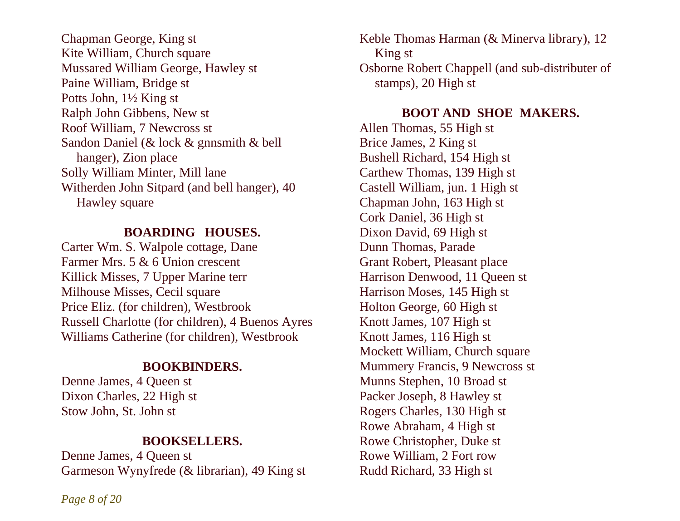Chapman George, King st Kite William, Church square Mussared William George, Hawley st Paine William, Bridge st Potts John, 1½ King st Ralph John Gibbens, New st Roof William, 7 Newcross st Sandon Daniel (& lock & gnnsmith & bell hanger), Zion place Solly William Minter, Mill lane Witherden John Sitpard (and bell hanger), 40 Hawley square

#### **BOARDING HOUSES.**

Carter Wm. S. Walpole cottage, Dane Farmer Mrs. 5 & 6 Union crescent Killick Misses, 7 Upper Marine terr Milhouse Misses, Cecil square Price Eliz. (for children), Westbrook Russell Charlotte (for children), 4 Buenos Ayres Williams Catherine (for children), Westbrook

## **BOOKBINDERS.**

Denne James, 4 Queen st Dixon Charles, 22 High st Stow John, St. John st

#### **BOOKSELLERS.**

Denne James, 4 Queen st Garmeson Wynyfrede (& librarian), 49 King st

Keble Thomas Harman (& Minerva library), 12 King st Osborne Robert Chappell (and sub-distributer of stamps), 20 High st

### **BOOT AND SHOE MAKERS.**

Allen Thomas, 55 High st Brice James, 2 King st Bushell Richard, 154 High st Carthew Thomas, 139 High st Castell William, jun. 1 High st Chapman John, 163 High st Cork Daniel, 36 High st Dixon David, 69 High st Dunn Thomas, Parade Grant Robert, Pleasant place Harrison Denwood, 11 Queen st Harrison Moses, 145 High st Holton George, 60 High st Knott James, 107 High st Knott James, 116 High st Mockett William, Church square Mummery Francis, 9 Newcross st Munns Stephen, 10 Broad st Packer Joseph, 8 Hawley st Rogers Charles, 130 High st Rowe Abraham, 4 High st Rowe Christopher, Duke st Rowe William, 2 Fort row Rudd Richard, 33 High st

*Page 8 of 20*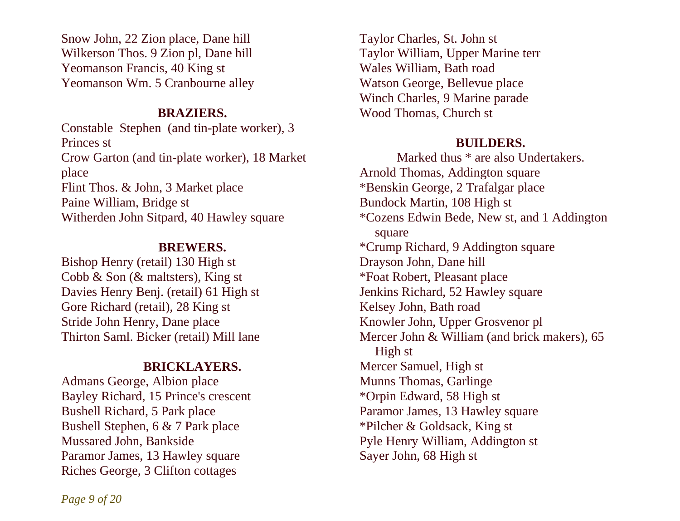Snow John, 22 Zion place, Dane hill Wilkerson Thos. 9 Zion pl, Dane hill Yeomanson Francis, 40 King st Yeomanson Wm. 5 Cranbourne alley

#### **BRAZIERS.**

Constable Stephen (and tin-plate worker), 3 Princes st Crow Garton (and tin-plate worker), 18 Market place Flint Thos. & John, 3 Market place Paine William, Bridge st Witherden John Sitpard, 40 Hawley square

## **BREWERS.**

Bishop Henry (retail) 130 High st Cobb & Son (& maltsters), King st Davies Henry Benj. (retail) 61 High st Gore Richard (retail), 28 King st Stride John Henry, Dane place Thirton Saml. Bicker (retail) Mill lane

## **BRICKLAYERS.**

Admans George, Albion place Bayley Richard, 15 Prince's crescent Bushell Richard, 5 Park place Bushell Stephen, 6 & 7 Park place Mussared John, Bankside Paramor James, 13 Hawley square Riches George, 3 Clifton cottages

Taylor Charles, St. John st Taylor William, Upper Marine terr Wales William, Bath road Watson George, Bellevue place Winch Charles, 9 Marine parade Wood Thomas, Church st

## **BUILDERS.**

Marked thus \* are also Undertakers. Arnold Thomas, Addington square \*Benskin George, 2 Trafalgar place Bundock Martin, 108 High st \*Cozens Edwin Bede, New st, and 1 Addington square \*Crump Richard, 9 Addington square Drayson John, Dane hill \*Foat Robert, Pleasant place Jenkins Richard, 52 Hawley square Kelsey John, Bath road Knowler John, Upper Grosvenor pl Mercer John & William (and brick makers), 65 High st Mercer Samuel, High st Munns Thomas, Garlinge \*Orpin Edward, 58 High st Paramor James, 13 Hawley square \*Pilcher & Goldsack, King st Pyle Henry William, Addington st Sayer John, 68 High st

*Page 9 of 20*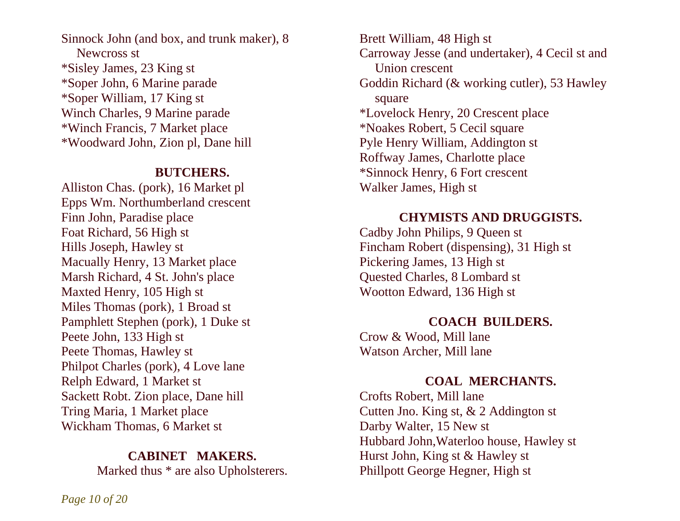Sinnock John (and box, and trunk maker), 8 Newcross st \*Sisley James, 23 King st \*Soper John, 6 Marine parade \*Soper William, 17 King st Winch Charles, 9 Marine parade \*Winch Francis, 7 Market place \*Woodward John, Zion pl, Dane hill

#### **BUTCHERS.**

Alliston Chas. (pork), 16 Market pl Epps Wm. Northumberland crescent Finn John, Paradise place Foat Richard, 56 High st Hills Joseph, Hawley st Macually Henry, 13 Market place Marsh Richard, 4 St. John's place Maxted Henry, 105 High st Miles Thomas (pork), 1 Broad st Pamphlett Stephen (pork), 1 Duke st Peete John, 133 High st Peete Thomas, Hawley st Philpot Charles (pork), 4 Love lane Relph Edward, 1 Market st Sackett Robt. Zion place, Dane hill Tring Maria, 1 Market place Wickham Thomas, 6 Market st

#### **CABINET MAKERS.**

Marked thus \* are also Upholsterers.

Brett William, 48 High st Carroway Jesse (and undertaker), 4 Cecil st and Union crescent Goddin Richard (& working cutler), 53 Hawley square \*Lovelock Henry, 20 Crescent place \*Noakes Robert, 5 Cecil square Pyle Henry William, Addington st Roffway James, Charlotte place \*Sinnock Henry, 6 Fort crescent Walker James, High st

### **CHYMISTS AND DRUGGISTS.**

Cadby John Philips, 9 Queen st Fincham Robert (dispensing), 31 High st Pickering James, 13 High st Quested Charles, 8 Lombard st Wootton Edward, 136 High st

## **COACH BUILDERS.**

Crow & Wood, Mill lane Watson Archer, Mill lane

## **COAL MERCHANTS.**

Crofts Robert, Mill lane Cutten Jno. King st, & 2 Addington st Darby Walter, 15 New st Hubbard John,Waterloo house, Hawley st Hurst John, King st & Hawley st Phillpott George Hegner, High st

*Page 10 of 20*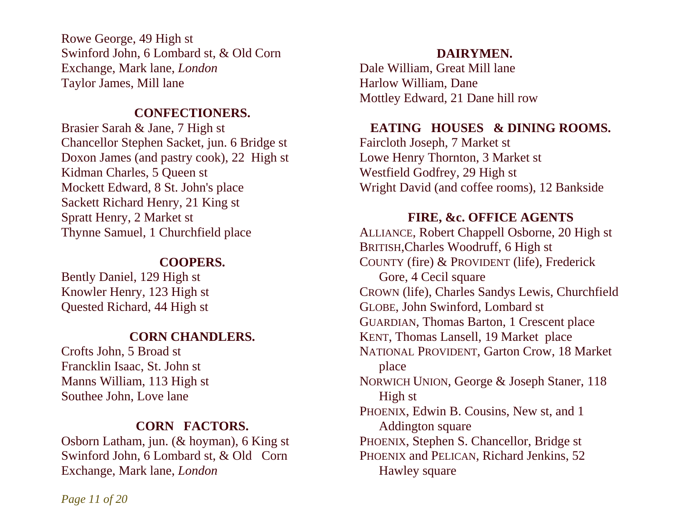Rowe George, 49 High st Swinford John, 6 Lombard st, & Old Corn Exchange, Mark lane, *London*  Taylor James, Mill lane

#### **CONFECTIONERS.**

Brasier Sarah & Jane, 7 High st Chancellor Stephen Sacket, jun. 6 Bridge st Doxon James (and pastry cook), 22 High st Kidman Charles, 5 Queen st Mockett Edward, 8 St. John's place Sackett Richard Henry, 21 King st Spratt Henry, 2 Market st Thynne Samuel, 1 Churchfield place

## **COOPERS.**

Bently Daniel, 129 High st Knowler Henry, 123 High st Quested Richard, 44 High st

## **CORN CHANDLERS.**

Crofts John, 5 Broad st Francklin Isaac, St. John st Manns William, 113 High st Southee John, Love lane

## **CORN FACTORS.**

Osborn Latham, jun. (& hoyman), 6 King st Swinford John, 6 Lombard st, & Old Corn Exchange, Mark lane, *London* 

## **DAIRYMEN.**

Dale William, Great Mill lane Harlow William, Dane Mottley Edward, 21 Dane hill row

## EATING HOUSES & DINING ROOMS.

Faircloth Joseph, 7 Market st Lowe Henry Thornton, 3 Market st Westfield Godfrey, 29 High st Wright David (and coffee rooms), 12 Bankside

## **FIRE, &c. OFFICE AGENTS**

ALLIANCE, Robert Chappell Osborne, 20 High st BRITISH,Charles Woodruff, 6 High st COUNTY (fire) & PROVIDENT (life), Frederick Gore, 4 Cecil square CROWN (life), Charles Sandys Lewis, Churchfield GLOBE, John Swinford, Lombard st GUARDIAN, Thomas Barton, 1 Crescent place KENT, Thomas Lansell, 19 Market place NATIONAL PROVIDENT, Garton Crow, 18 Market place NORWICH UNION, George & Joseph Staner, 118 High st PHOENIX, Edwin B. Cousins, New st, and 1 Addington square PHOENIX, Stephen S. Chancellor, Bridge st PHOENIX and PELICAN, Richard Jenkins, 52 Hawley square

*Page 11 of 20*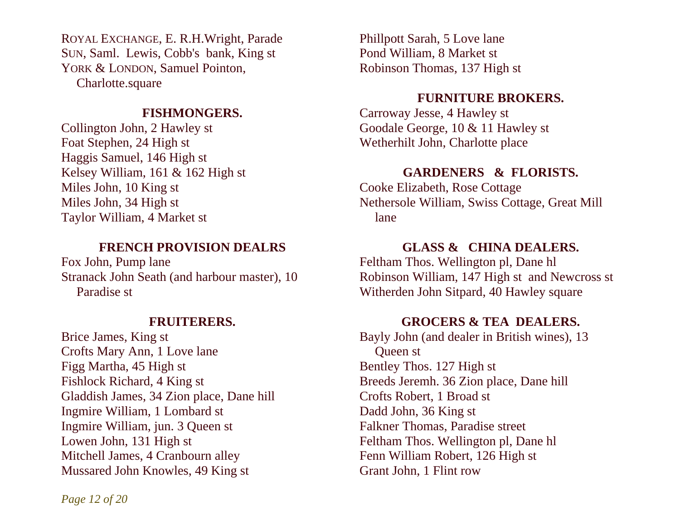ROYAL EXCHANGE, E. R.H.Wright, Parade Phillpott Sarah, 5 Love lane SUN, Saml. Lewis, Cobb's bank, King st YORK & LONDON, Samuel Pointon, Charlotte.square

## **FISHMONGERS.**

Collington John, 2 Hawley st Foat Stephen, 24 High st Haggis Samuel, 146 High st Kelsey William, 161 & 162 High st Miles John, 10 King st Miles John, 34 High st Taylor William, 4 Market st

## **FRENCH PROVISION DEALRS**

Fox John, Pump lane Stranack John Seath (and harbour master), 10 Paradise st

## **FRUITERERS.**

Brice James, King st Crofts Mary Ann, 1 Love lane Figg Martha, 45 High st Fishlock Richard, 4 King st Gladdish James, 34 Zion place, Dane hill Ingmire William, 1 Lombard st Ingmire William, jun. 3 Queen st Lowen John, 131 High st Mitchell James, 4 Cranbourn alley Mussared John Knowles, 49 King st

Pond William, 8 Market st Robinson Thomas, 137 High st

#### **FURNITURE BROKERS.**

Carroway Jesse, 4 Hawley st Goodale George, 10 & 11 Hawley st Wetherhilt John, Charlotte place

#### **GARDENERS & FLORISTS.**

Cooke Elizabeth, Rose Cottage Nethersole William, Swiss Cottage, Great Mill lane

## **GLASS & CHINA DEALERS.**

Feltham Thos. Wellington pl, Dane hl Robinson William, 147 High st and Newcross st Witherden John Sitpard, 40 Hawley square

#### **GROCERS & TEA DEALERS.**

Bayly John (and dealer in British wines), 13 Queen st Bentley Thos. 127 High st Breeds Jeremh. 36 Zion place, Dane hill Crofts Robert, 1 Broad st Dadd John, 36 King st Falkner Thomas, Paradise street Feltham Thos. Wellington pl, Dane hl Fenn William Robert, 126 High st Grant John, 1 Flint row

*Page 12 of 20*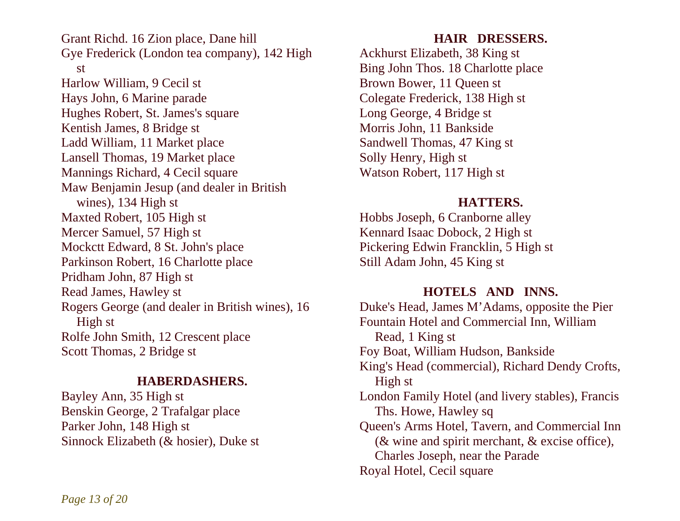Grant Richd. 16 Zion place, Dane hill Gye Frederick (London tea company), 142 High st Harlow William, 9 Cecil st Hays John, 6 Marine parade Hughes Robert, St. James's square Kentish James, 8 Bridge st Ladd William, 11 Market place Lansell Thomas, 19 Market place Mannings Richard, 4 Cecil square Maw Benjamin Jesup (and dealer in British wines), 134 High st Maxted Robert, 105 High st Mercer Samuel, 57 High st Mockctt Edward, 8 St. John's place Parkinson Robert, 16 Charlotte place Pridham John, 87 High st Read James, Hawley st Rogers George (and dealer in British wines), 16 High st Rolfe John Smith, 12 Crescent place Scott Thomas, 2 Bridge st

## **HABERDASHERS.**

Bayley Ann, 35 High st Benskin George, 2 Trafalgar place Parker John, 148 High st Sinnock Elizabeth (& hosier), Duke st

## **HAIR DRESSERS.**

Ackhurst Elizabeth, 38 King st Bing John Thos. 18 Charlotte place Brown Bower, 11 Queen st Colegate Frederick, 138 High st Long George, 4 Bridge st Morris John, 11 Bankside Sandwell Thomas, 47 King st Solly Henry, High st Watson Robert, 117 High st

## **HATTERS.**

Hobbs Joseph, 6 Cranborne alley Kennard Isaac Dobock, 2 High st Pickering Edwin Francklin, 5 High st Still Adam John, 45 King st

## **HOTELS AND INNS.**

Duke's Head, James M'Adams, opposite the Pier Fountain Hotel and Commercial Inn, William Read, 1 King st Foy Boat, William Hudson, Bankside King's Head (commercial), Richard Dendy Crofts, High st London Family Hotel (and livery stables), Francis Ths. Howe, Hawley sq Queen's Arms Hotel, Tavern, and Commercial Inn (& wine and spirit merchant, & excise office), Charles Joseph, near the Parade Royal Hotel, Cecil square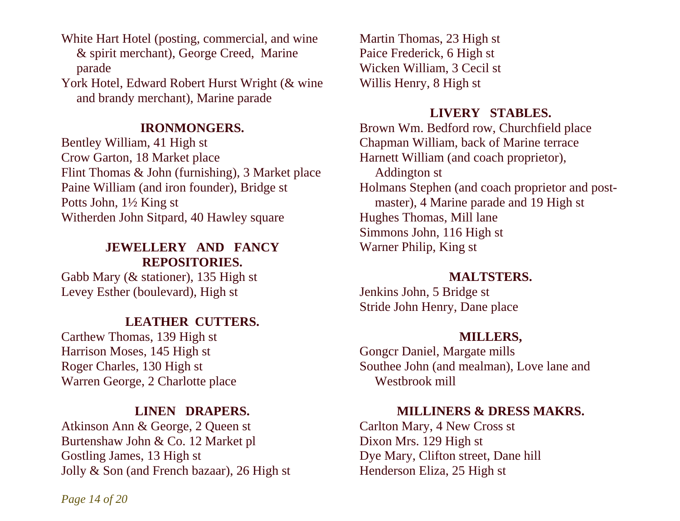White Hart Hotel (posting, commercial, and wine & spirit merchant), George Creed, Marine parade

York Hotel, Edward Robert Hurst Wright (& wine and brandy merchant), Marine parade

## **IRONMONGERS.**

Bentley William, 41 High st Crow Garton, 18 Market place Flint Thomas & John (furnishing), 3 Market place Paine William (and iron founder), Bridge st Potts John, 1½ King st Witherden John Sitpard, 40 Hawley square

## **JEWELLERY AND FANCY REPOSITORIES.**

Gabb Mary (& stationer), 135 High st Levey Esther (boulevard), High st

## **LEATHER CUTTERS.**

Carthew Thomas, 139 High st Harrison Moses, 145 High st Roger Charles, 130 High st Warren George, 2 Charlotte place

## **LINEN DRAPERS.**

Atkinson Ann & George, 2 Queen st Burtenshaw John & Co. 12 Market pl Gostling James, 13 High st Jolly & Son (and French bazaar), 26 High st

Martin Thomas, 23 High st Paice Frederick, 6 High st Wicken William, 3 Cecil st Willis Henry, 8 High st

## **LIVERY STABLES.**

Harnett William (and coach proprietor), Addington st Brown Wm. Bedford row, Churchfield place Chapman William, back of Marine terrace Holmans Stephen (and coach proprietor and post master), 4 Marine parade and 19 High st Hughes Thomas, Mill lane Simmons John, 116 High st Warner Philip, King st

### **MALTSTERS.**

Jenkins John, 5 Bridge st Stride John Henry, Dane place

## **MILLERS,**

Gongcr Daniel, Margate mills Southee John (and mealman), Love lane and Westbrook mill

## **MILLINERS & DRESS MAKRS.**

Carlton Mary, 4 New Cross st Dixon Mrs. 129 High st Dye Mary, Clifton street, Dane hill Henderson Eliza, 25 High st

*Page 14 of 20*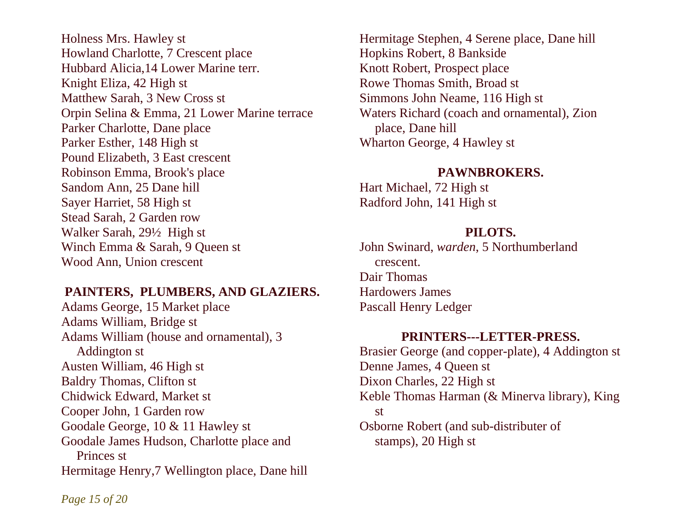Holness Mrs. Hawley st Howland Charlotte, 7 Crescent place Hubbard Alicia,14 Lower Marine terr. Knight Eliza, 42 High st Matthew Sarah, 3 New Cross st Orpin Selina & Emma, 21 Lower Marine terrace Parker Charlotte, Dane place Parker Esther, 148 High st Pound Elizabeth, 3 East crescent Robinson Emma, Brook's place Sandom Ann, 25 Dane hill Sayer Harriet, 58 High st Stead Sarah, 2 Garden row Walker Sarah, 29½ High st Winch Emma & Sarah, 9 Queen st Wood Ann, Union crescent

#### **PAINTERS, PLUMBERS, AND GLAZIERS.**

Adams George, 15 Market place Adams William, Bridge st Adams William (house and ornamental), 3 Addington st Austen William, 46 High st Baldry Thomas, Clifton st Chidwick Edward, Market st Cooper John, 1 Garden row Goodale George, 10 & 11 Hawley st Goodale James Hudson, Charlotte place and Princes st Hermitage Henry,7 Wellington place, Dane hill Hermitage Stephen, 4 Serene place, Dane hill Hopkins Robert, 8 Bankside Knott Robert, Prospect place Rowe Thomas Smith, Broad st Simmons John Neame, 116 High st Waters Richard (coach and ornamental), Zion place, Dane hill Wharton George, 4 Hawley st

#### **PAWNBROKERS.**

Hart Michael, 72 High st Radford John, 141 High st

#### **PILOTS.**

John Swinard, *warden*, 5 Northumberland crescent. Dair Thomas Hardowers James Pascall Henry Ledger

## **PRINTERS---LETTER-PRESS.**

Brasier George (and copper-plate), 4 Addington st Denne James, 4 Queen st Dixon Charles, 22 High st Keble Thomas Harman (& Minerva library), King st Osborne Robert (and sub-distributer of stamps), 20 High st

*Page 15 of 20*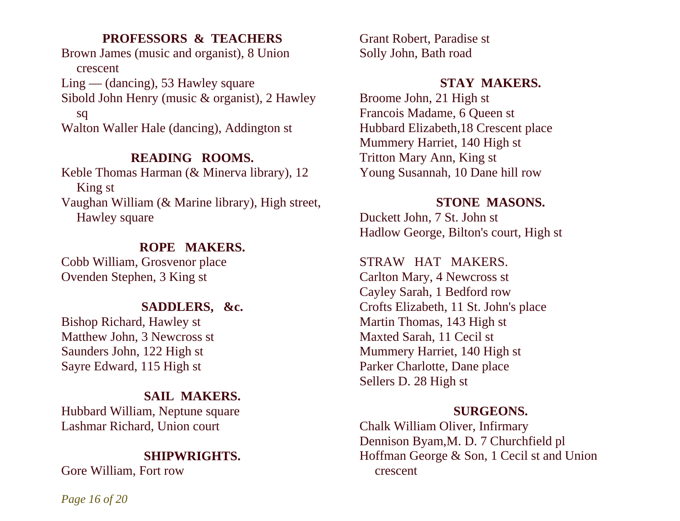## **PROFESSORS & TEACHERS**

Brown James (music and organist), 8 Union crescent Ling — (dancing), 53 Hawley square Sibold John Henry (music & organist), 2 Hawley sq

Walton Waller Hale (dancing), Addington st

## **READING ROOMS.**

Keble Thomas Harman (& Minerva library), 12 King st Vaughan William (& Marine library), High street, Hawley square

## **ROPE MAKERS.**

Cobb William, Grosvenor place Ovenden Stephen, 3 King st

## **SADDLERS, &c.**

Bishop Richard, Hawley st Matthew John, 3 Newcross st Saunders John, 122 High st Sayre Edward, 115 High st

## **SAIL MAKERS.**

Hubbard William, Neptune square Lashmar Richard, Union court

## **SHIPWRIGHTS.**

Gore William, Fort row

Grant Robert, Paradise st Solly John, Bath road

## **STAY MAKERS.**

Broome John, 21 High st Francois Madame, 6 Queen st Hubbard Elizabeth,18 Crescent place Mummery Harriet, 140 High st Tritton Mary Ann, King st Young Susannah, 10 Dane hill row

## **STONE MASONS.**

Duckett John, 7 St. John st Hadlow George, Bilton's court, High st

STRAW HAT MAKERS.

Carlton Mary, 4 Newcross st Cayley Sarah, 1 Bedford row Crofts Elizabeth, 11 St. John's place Martin Thomas, 143 High st Maxted Sarah, 11 Cecil st Mummery Harriet, 140 High st Parker Charlotte, Dane place Sellers D. 28 High st

#### **SURGEONS.**

Chalk William Oliver, Infirmary Dennison Byam,M. D. 7 Churchfield pl Hoffman George & Son, 1 Cecil st and Union crescent

*Page 16 of 20*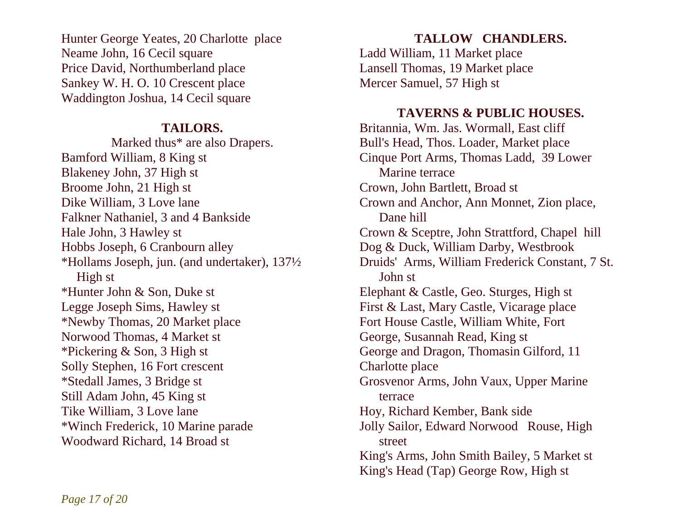Hunter George Yeates, 20 Charlotte place Neame John, 16 Cecil square Price David, Northumberland place Sankey W. H. O. 10 Crescent place Waddington Joshua, 14 Cecil square

## **TAILORS.**

Marked thus\* are also Drapers. Bamford William, 8 King st Blakeney John, 37 High st Broome John, 21 High st Dike William, 3 Love lane Falkner Nathaniel, 3 and 4 Bankside Hale John, 3 Hawley st Hobbs Joseph, 6 Cranbourn alley \*Hollams Joseph, jun. (and undertaker), 137½ High st \*Hunter John & Son, Duke st Legge Joseph Sims, Hawley st \*Newby Thomas, 20 Market place Norwood Thomas, 4 Market st \*Pickering & Son, 3 High st Solly Stephen, 16 Fort crescent \*Stedall James, 3 Bridge st Still Adam John, 45 King st Tike William, 3 Love lane \*Winch Frederick, 10 Marine parade Woodward Richard, 14 Broad st

## **TALLOW CHANDLERS.**

Ladd William, 11 Market place Lansell Thomas, 19 Market place Mercer Samuel, 57 High st

## **TAVERNS & PUBLIC HOUSES.**

Britannia, Wm. Jas. Wormall, East cliff Bull's Head, Thos. Loader, Market place Cinque Port Arms, Thomas Ladd, 39 Lower Marine terrace Crown, John Bartlett, Broad st Crown and Anchor, Ann Monnet, Zion place, Dane hill Crown & Sceptre, John Strattford, Chapel hill Dog & Duck, William Darby, Westbrook Druids' Arms, William Frederick Constant, 7 St. John st Elephant & Castle, Geo. Sturges, High st First & Last, Mary Castle, Vicarage place Fort House Castle, William White, Fort George, Susannah Read, King st George and Dragon, Thomasin Gilford, 11 Charlotte place Grosvenor Arms, John Vaux, Upper Marine terrace Hoy, Richard Kember, Bank side Jolly Sailor, Edward Norwood Rouse, High street King's Arms, John Smith Bailey, 5 Market st King's Head (Tap) George Row, High st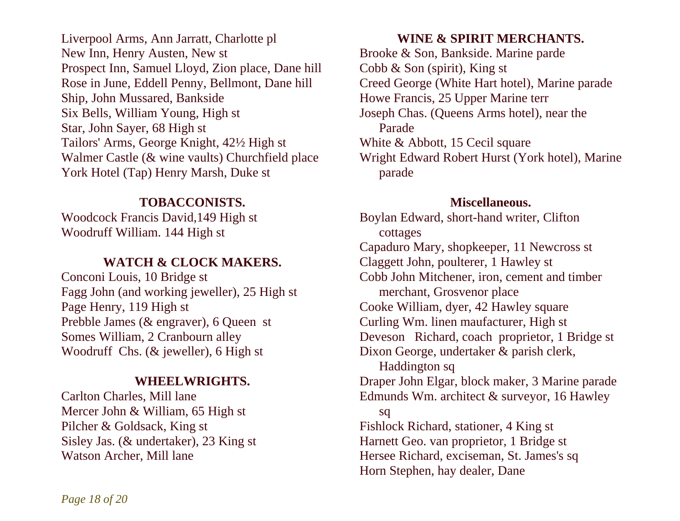Liverpool Arms, Ann Jarratt, Charlotte pl New Inn, Henry Austen, New st Prospect Inn, Samuel Lloyd, Zion place, Dane hill Cobb & Son (spirit), King st Rose in June, Eddell Penny, Bellmont, Dane hill Ship, John Mussared, Bankside Six Bells, William Young, High st Star, John Sayer, 68 High st Tailors' Arms, George Knight, 42½ High st Walmer Castle (& wine vaults) Churchfield place York Hotel (Tap) Henry Marsh, Duke st

## **TOBACCONISTS.**

Woodcock Francis David,149 High st Woodruff William. 144 High st

## **WATCH & CLOCK MAKERS.**

Conconi Louis, 10 Bridge st Fagg John (and working jeweller), 25 High st Page Henry, 119 High st Prebble James (& engraver), 6 Queen st Somes William, 2 Cranbourn alley Woodruff Chs. (& jeweller), 6 High st

## **WHEELWRIGHTS.**

Carlton Charles, Mill lane Mercer John & William, 65 High st Pilcher & Goldsack, King st Sisley Jas. (& undertaker), 23 King st Watson Archer, Mill lane

## **WINE & SPIRIT MERCHANTS.**

Brooke & Son, Bankside. Marine parde Creed George (White Hart hotel), Marine parade Howe Francis, 25 Upper Marine terr Joseph Chas. (Queens Arms hotel), near the Parade White & Abbott, 15 Cecil square Wright Edward Robert Hurst (York hotel), Marine parade

## **Miscellaneous.**

Boylan Edward, short-hand writer, Clifton cottages Capaduro Mary, shopkeeper, 11 Newcross st Claggett John, poulterer, 1 Hawley st Cobb John Mitchener, iron, cement and timber merchant, Grosvenor place Cooke William, dyer, 42 Hawley square Curling Wm. linen maufacturer, High st Deveson Richard, coach proprietor, 1 Bridge st Dixon George, undertaker & parish clerk, Haddington sq Draper John Elgar, block maker, 3 Marine parade Edmunds Wm. architect & surveyor, 16 Hawley sq Fishlock Richard, stationer, 4 King st Harnett Geo. van proprietor, 1 Bridge st Hersee Richard, exciseman, St. James's sq Horn Stephen, hay dealer, Dane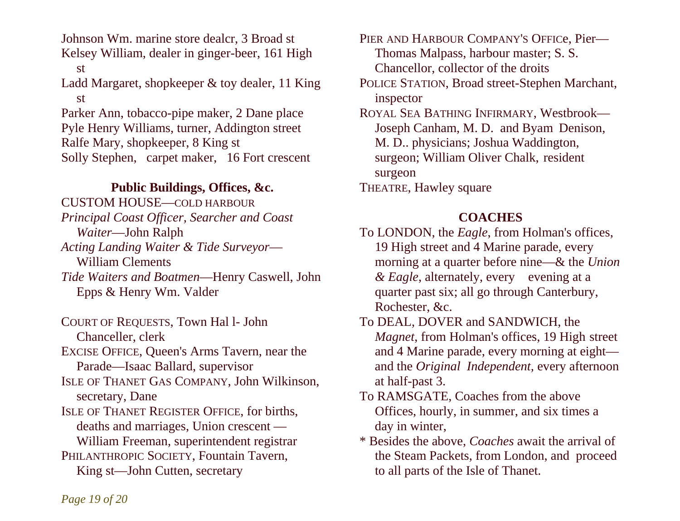Johnson Wm. marine store dealcr, 3 Broad st Kelsey William, dealer in ginger-beer, 161 High st Ladd Margaret, shopkeeper & toy dealer, 11 King st Parker Ann, tobacco-pipe maker, 2 Dane place ROYAL SEA BATHING INFIRMARY, Westbrook— Pyle Henry Williams, turner, Addington street Ralfe Mary, shopkeeper, 8 King st Solly Stephen, carpet maker, 16 Fort crescent

## **Public Buildings, Offices, &c.**

CUSTOM HOUSE—COLD HARBOUR *Principal Coast Officer, Searcher and Coast Waiter*—John Ralph *Acting Landing Waiter & Tide Surveyor*— William Clements *Tide Waiters and Boatmen*—Henry Caswell, John Epps & Henry Wm. Valder

COURT OF REQUESTS, Town Hal l- John

Chanceller, clerk

EXCISE OFFICE, Queen's Arms Tavern, near the Parade—Isaac Ballard, supervisor

ISLE OF THANET GAS COMPANY, John Wilkinson, secretary, Dane

ISLE OF THANET REGISTER OFFICE, for births, deaths and marriages, Union crescent — William Freeman, superintendent registrar PHILANTHROPIC SOCIETY, Fountain Tavern,

King st—John Cutten, secretary

PIER AND HARBOUR COMPANY'S OFFICe, Pier— Thomas Malpass, harbour master; S. S. Chancellor, collector of the droits

POLICE STATION, Broad street-Stephen Marchant, inspector

 Joseph Canham, M. D. and Byam Denison, M. D.. physicians; Joshua Waddington, surgeon; William Oliver Chalk, resident surgeon

THEATRE, Hawley square

## **COACHES**

To LONDON, the *Eagle*, from Holman's offices, 19 High street and 4 Marine parade, every morning at a quarter before nine—& the *Union & Eagle*, alternately, every evening at a quarter past six; all go through Canterbury, Rochester, &c.

To DEAL, DOVER and SANDWICH, the *Magnet*, from Holman's offices, 19 High street and 4 Marine parade, every morning at eight and the *Original Independent,* every afternoon at half-past 3.

- To RAMSGATE, Coaches from the above Offices, hourly, in summer, and six times a day in winter,
- \* Besides the above, *Coaches* await the arrival of the Steam Packets, from London, and proceed to all parts of the Isle of Thanet.

*Page 19 of 20*